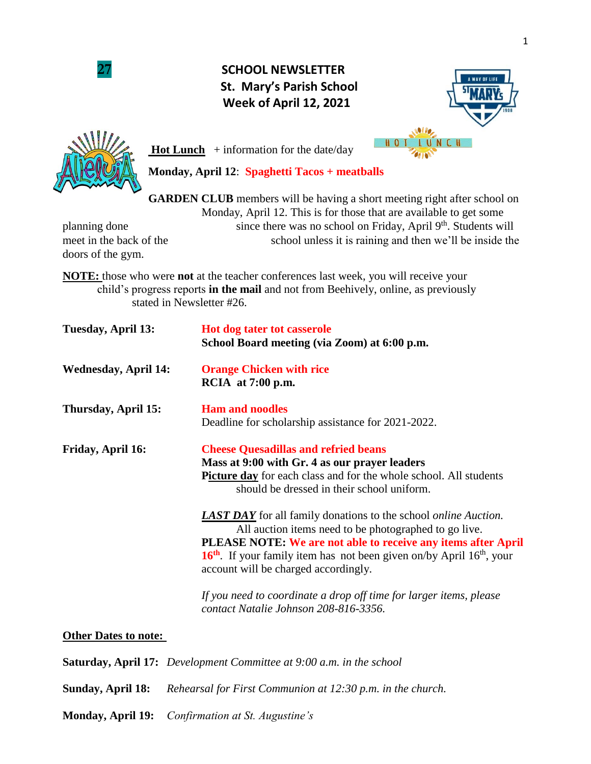

## **27 SCHOOL NEWSLETTER St. Mary's Parish School Week of April 12, 2021**





doors of the gym.

**Hot Lunch** + information for the date/day

**Monday, April 12**: **Spaghetti Tacos + meatballs**

**GARDEN CLUB** members will be having a short meeting right after school on Monday, April 12. This is for those that are available to get some planning done since there was no school on Friday, April 9<sup>th</sup>. Students will meet in the back of the school unless it is raining and then we'll be inside the

**NOTE:** those who were **not** at the teacher conferences last week, you will receive your child's progress reports **in the mail** and not from Beehively, online, as previously stated in Newsletter #26.

| Tuesday, April 13:                                                   | Hot dog tater tot casserole<br>School Board meeting (via Zoom) at 6:00 p.m.                                                                                                                                                                                                                                                                                                                                                                                                                                                                                                                                                                                     |
|----------------------------------------------------------------------|-----------------------------------------------------------------------------------------------------------------------------------------------------------------------------------------------------------------------------------------------------------------------------------------------------------------------------------------------------------------------------------------------------------------------------------------------------------------------------------------------------------------------------------------------------------------------------------------------------------------------------------------------------------------|
| <b>Wednesday, April 14:</b>                                          | <b>Orange Chicken with rice</b><br>RCIA at 7:00 p.m.                                                                                                                                                                                                                                                                                                                                                                                                                                                                                                                                                                                                            |
| Thursday, April 15:                                                  | <b>Ham and noodles</b><br>Deadline for scholarship assistance for 2021-2022.                                                                                                                                                                                                                                                                                                                                                                                                                                                                                                                                                                                    |
| Friday, April 16:                                                    | <b>Cheese Quesadillas and refried beans</b><br>Mass at 9:00 with Gr. 4 as our prayer leaders<br>Picture day for each class and for the whole school. All students<br>should be dressed in their school uniform.<br><b>LAST DAY</b> for all family donations to the school <i>online Auction</i> .<br>All auction items need to be photographed to go live.<br>PLEASE NOTE: We are not able to receive any items after April<br>$16th$ . If your family item has not been given on/by April $16th$ , your<br>account will be charged accordingly.<br>If you need to coordinate a drop off time for larger items, please<br>contact Natalie Johnson 208-816-3356. |
| <b>Other Dates to note:</b>                                          |                                                                                                                                                                                                                                                                                                                                                                                                                                                                                                                                                                                                                                                                 |
| Saturday, April 17: Development Committee at 9:00 a.m. in the school |                                                                                                                                                                                                                                                                                                                                                                                                                                                                                                                                                                                                                                                                 |

**Sunday, April 18:** *Rehearsal for First Communion at 12:30 p.m. in the church.*

**Monday, April 19:** *Confirmation at St. Augustine's*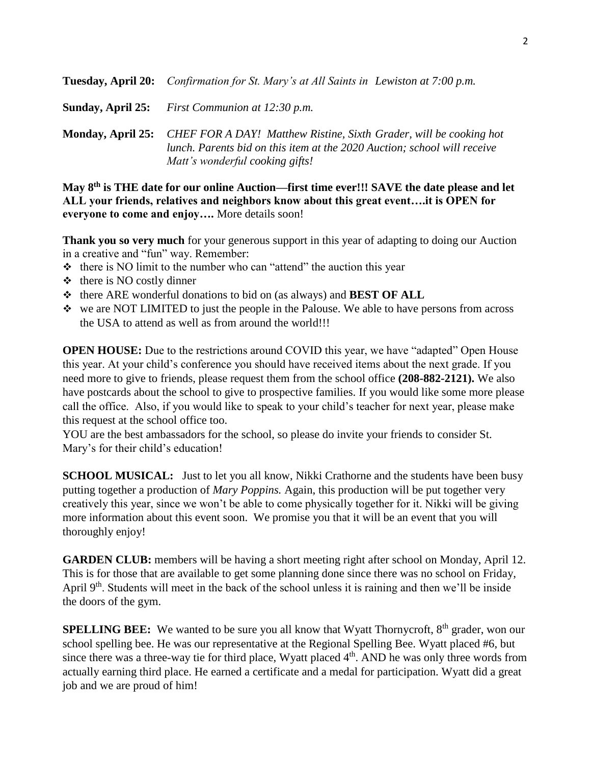**Tuesday, April 20:** *Confirmation for St. Mary's at All Saints in Lewiston at 7:00 p.m.*

**Sunday, April 25:** *First Communion at 12:30 p.m.*

**Monday, April 25:** *CHEF FOR A DAY! Matthew Ristine, Sixth Grader, will be cooking hot lunch. Parents bid on this item at the 2020 Auction; school will receive Matt's wonderful cooking gifts!*

**May 8th is THE date for our online Auction—first time ever!!! SAVE the date please and let ALL your friends, relatives and neighbors know about this great event….it is OPEN for everyone to come and enjoy….** More details soon!

**Thank you so very much** for your generous support in this year of adapting to doing our Auction in a creative and "fun" way. Remember:

- ❖ there is NO limit to the number who can "attend" the auction this year
- ❖ there is NO costly dinner
- ❖ there ARE wonderful donations to bid on (as always) and **BEST OF ALL**
- ❖ we are NOT LIMITED to just the people in the Palouse. We able to have persons from across the USA to attend as well as from around the world!!!

**OPEN HOUSE:** Due to the restrictions around COVID this year, we have "adapted" Open House this year. At your child's conference you should have received items about the next grade. If you need more to give to friends, please request them from the school office **(208-882-2121).** We also have postcards about the school to give to prospective families. If you would like some more please call the office. Also, if you would like to speak to your child's teacher for next year, please make this request at the school office too.

YOU are the best ambassadors for the school, so please do invite your friends to consider St. Mary's for their child's education!

**SCHOOL MUSICAL:** Just to let you all know, Nikki Crathorne and the students have been busy putting together a production of *Mary Poppins.* Again, this production will be put together very creatively this year, since we won't be able to come physically together for it. Nikki will be giving more information about this event soon. We promise you that it will be an event that you will thoroughly enjoy!

**GARDEN CLUB:** members will be having a short meeting right after school on Monday, April 12. This is for those that are available to get some planning done since there was no school on Friday, April 9<sup>th</sup>. Students will meet in the back of the school unless it is raining and then we'll be inside the doors of the gym.

**SPELLING BEE:** We wanted to be sure you all know that Wyatt Thornycroft, 8<sup>th</sup> grader, won our school spelling bee. He was our representative at the Regional Spelling Bee. Wyatt placed #6, but since there was a three-way tie for third place, Wyatt placed 4<sup>th</sup>. AND he was only three words from actually earning third place. He earned a certificate and a medal for participation. Wyatt did a great job and we are proud of him!